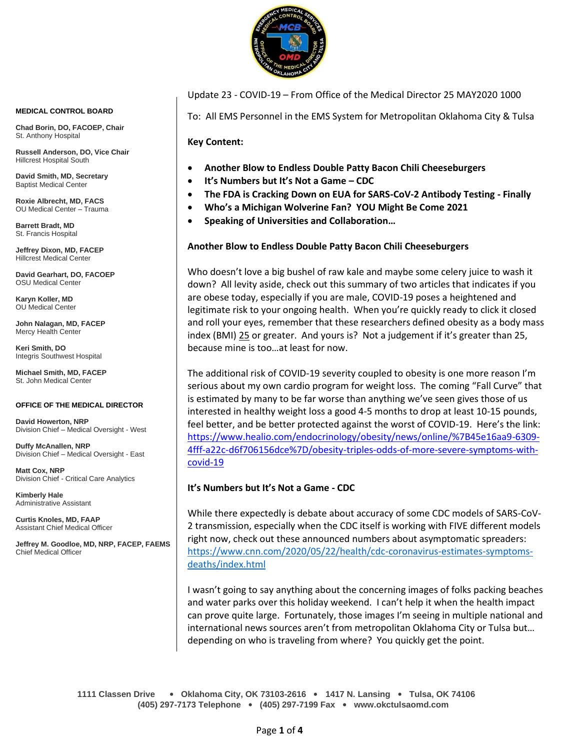

Update 23 - COVID-19 – From Office of the Medical Director 25 MAY2020 1000

To: All EMS Personnel in the EMS System for Metropolitan Oklahoma City & Tulsa

**Key Content:**

- **Another Blow to Endless Double Patty Bacon Chili Cheeseburgers**
- **It's Numbers but It's Not a Game – CDC**
- **The FDA is Cracking Down on EUA for SARS-CoV-2 Antibody Testing - Finally**
- **Who's a Michigan Wolverine Fan? YOU Might Be Come 2021**
- **Speaking of Universities and Collaboration…**

### **Another Blow to Endless Double Patty Bacon Chili Cheeseburgers**

Who doesn't love a big bushel of raw kale and maybe some celery juice to wash it down? All levity aside, check out this summary of two articles that indicates if you are obese today, especially if you are male, COVID-19 poses a heightened and legitimate risk to your ongoing health. When you're quickly ready to click it closed and roll your eyes, remember that these researchers defined obesity as a body mass index (BMI) 25 or greater. And yours is? Not a judgement if it's greater than 25, because mine is too…at least for now.

The additional risk of COVID-19 severity coupled to obesity is one more reason I'm serious about my own cardio program for weight loss. The coming "Fall Curve" that is estimated by many to be far worse than anything we've seen gives those of us interested in healthy weight loss a good 4-5 months to drop at least 10-15 pounds, feel better, and be better protected against the worst of COVID-19. Here's the link: [https://www.healio.com/endocrinology/obesity/news/online/%7B45e16aa9-6309-](https://www.healio.com/endocrinology/obesity/news/online/%7B45e16aa9-6309-4fff-a22c-d6f706156dce%7D/obesity-triples-odds-of-more-severe-symptoms-with-covid-19) [4fff-a22c-d6f706156dce%7D/obesity-triples-odds-of-more-severe-symptoms-with](https://www.healio.com/endocrinology/obesity/news/online/%7B45e16aa9-6309-4fff-a22c-d6f706156dce%7D/obesity-triples-odds-of-more-severe-symptoms-with-covid-19)[covid-19](https://www.healio.com/endocrinology/obesity/news/online/%7B45e16aa9-6309-4fff-a22c-d6f706156dce%7D/obesity-triples-odds-of-more-severe-symptoms-with-covid-19)

#### **It's Numbers but It's Not a Game - CDC**

While there expectedly is debate about accuracy of some CDC models of SARS-CoV-2 transmission, especially when the CDC itself is working with FIVE different models right now, check out these announced numbers about asymptomatic spreaders: [https://www.cnn.com/2020/05/22/health/cdc-coronavirus-estimates-symptoms](https://www.cnn.com/2020/05/22/health/cdc-coronavirus-estimates-symptoms-deaths/index.html)[deaths/index.html](https://www.cnn.com/2020/05/22/health/cdc-coronavirus-estimates-symptoms-deaths/index.html)

I wasn't going to say anything about the concerning images of folks packing beaches and water parks over this holiday weekend. I can't help it when the health impact can prove quite large. Fortunately, those images I'm seeing in multiple national and international news sources aren't from metropolitan Oklahoma City or Tulsa but… depending on who is traveling from where? You quickly get the point.

**1111 Classen Drive** • **Oklahoma City, OK 73103-2616** • **1417 N. Lansing** • **Tulsa, OK 74106 (405) 297-7173 Telephone** • **(405) 297-7199 Fax** • **www.okctulsaomd.com**

#### **MEDICAL CONTROL BOARD**

**Chad Borin, DO, FACOEP, Chair**  St. Anthony Hospital

**Russell Anderson, DO, Vice Chair** Hillcrest Hospital South

**David Smith, MD, Secretary** Baptist Medical Center

**Roxie Albrecht, MD, FACS** OU Medical Center – Trauma

**Barrett Bradt, MD** St. Francis Hospital

**Jeffrey Dixon, MD, FACEP** Hillcrest Medical Center

**David Gearhart, DO, FACOEP** OSU Medical Center

**Karyn Koller, MD** OU Medical Center

**John Nalagan, MD, FACEP** Mercy Health Center

**Keri Smith, DO** Integris Southwest Hospital

**Michael Smith, MD, FACEP** St. John Medical Center

#### **OFFICE OF THE MEDICAL DIRECTOR**

**David Howerton, NRP** Division Chief – Medical Oversight - West

**Duffy McAnallen, NRP** Division Chief – Medical Oversight - East

**Matt Cox, NRP** Division Chief - Critical Care Analytics

**Kimberly Hale** Administrative Assistant

**Curtis Knoles, MD, FAAP** Assistant Chief Medical Officer

**Jeffrey M. Goodloe, MD, NRP, FACEP, FAEMS** Chief Medical Officer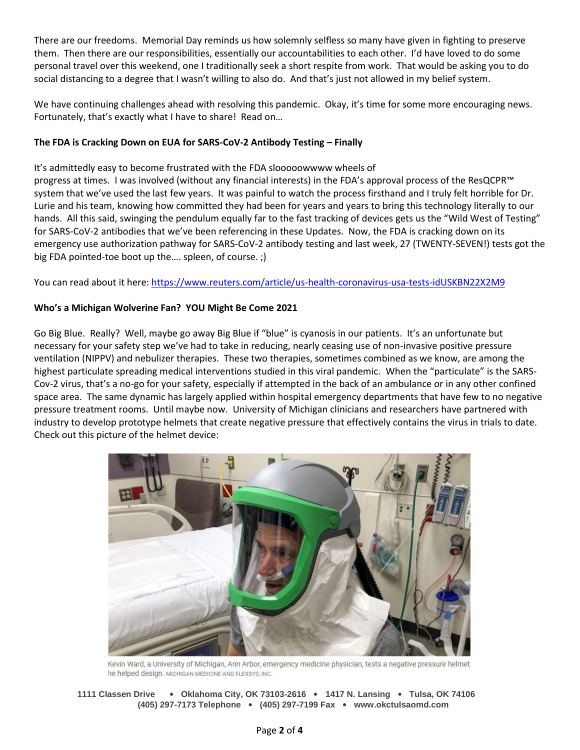There are our freedoms. Memorial Day reminds us how solemnly selfless so many have given in fighting to preserve them. Then there are our responsibilities, essentially our accountabilities to each other. I'd have loved to do some personal travel over this weekend, one I traditionally seek a short respite from work. That would be asking you to do social distancing to a degree that I wasn't willing to also do. And that's just not allowed in my belief system.

We have continuing challenges ahead with resolving this pandemic. Okay, it's time for some more encouraging news. Fortunately, that's exactly what I have to share! Read on…

# **The FDA is Cracking Down on EUA for SARS-CoV-2 Antibody Testing – Finally**

It's admittedly easy to become frustrated with the FDA slooooowwww wheels of progress at times. I was involved (without any financial interests) in the FDA's approval process of the ResQCPR™ system that we've used the last few years. It was painful to watch the process firsthand and I truly felt horrible for Dr. Lurie and his team, knowing how committed they had been for years and years to bring this technology literally to our hands. All this said, swinging the pendulum equally far to the fast tracking of devices gets us the "Wild West of Testing" for SARS-CoV-2 antibodies that we've been referencing in these Updates. Now, the FDA is cracking down on its emergency use authorization pathway for SARS-CoV-2 antibody testing and last week, 27 (TWENTY-SEVEN!) tests got the big FDA pointed-toe boot up the.... spleen, of course. :)

You can read about it here:<https://www.reuters.com/article/us-health-coronavirus-usa-tests-idUSKBN22X2M9>

# **Who's a Michigan Wolverine Fan? YOU Might Be Come 2021**

Go Big Blue. Really? Well, maybe go away Big Blue if "blue" is cyanosis in our patients. It's an unfortunate but necessary for your safety step we've had to take in reducing, nearly ceasing use of non-invasive positive pressure ventilation (NIPPV) and nebulizer therapies. These two therapies, sometimes combined as we know, are among the highest particulate spreading medical interventions studied in this viral pandemic. When the "particulate" is the SARS-Cov-2 virus, that's a no-go for your safety, especially if attempted in the back of an ambulance or in any other confined space area. The same dynamic has largely applied within hospital emergency departments that have few to no negative pressure treatment rooms. Until maybe now. University of Michigan clinicians and researchers have partnered with industry to develop prototype helmets that create negative pressure that effectively contains the virus in trials to date. Check out this picture of the helmet device:



Kevin Ward, a University of Michigan, Ann Arbor, emergency medicine physician, tests a negative pressure helmet he helped design. MICHIGAN MEDICINE AND FLEXSYS, INC.

**1111 Classen Drive** • **Oklahoma City, OK 73103-2616** • **1417 N. Lansing** • **Tulsa, OK 74106 (405) 297-7173 Telephone** • **(405) 297-7199 Fax** • **www.okctulsaomd.com**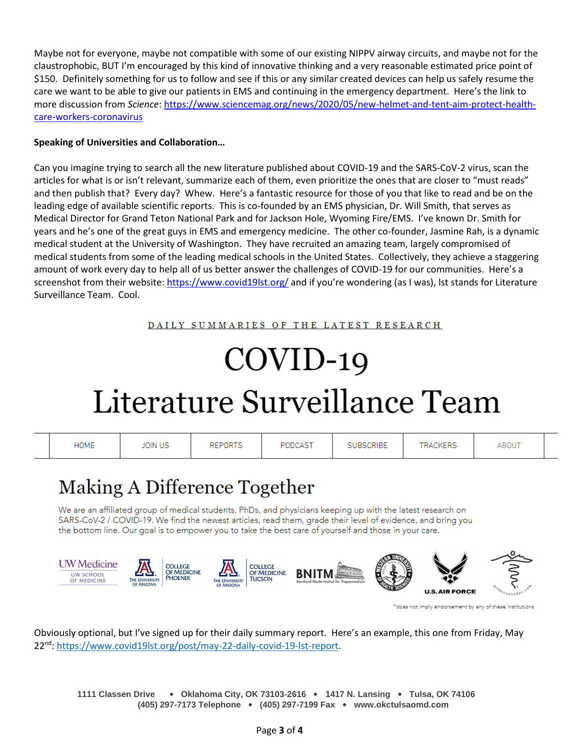Maybe not for everyone, maybe not compatible with some of our existing NIPPV airway circuits, and maybe not for the claustrophobic, BUT I'm encouraged by this kind of innovative thinking and a very reasonable estimated price point of \$150. Definitely something for us to follow and see if this or any similar created devices can help us safely resume the care we want to be able to give our patients in EMS and continuing in the emergency department. Here's the link to more discussion from *Science*: [https://www.sciencemag.org/news/2020/05/new-helmet-and-tent-aim-protect-health](https://www.sciencemag.org/news/2020/05/new-helmet-and-tent-aim-protect-health-care-workers-coronavirus)[care-workers-coronavirus](https://www.sciencemag.org/news/2020/05/new-helmet-and-tent-aim-protect-health-care-workers-coronavirus)

# **Speaking of Universities and Collaboration…**

Can you imagine trying to search all the new literature published about COVID-19 and the SARS-CoV-2 virus, scan the articles for what is or isn't relevant, summarize each of them, even prioritize the ones that are closer to "must reads" and then publish that? Every day? Whew. Here's a fantastic resource for those of you that like to read and be on the leading edge of available scientific reports. This is co-founded by an EMS physician, Dr. Will Smith, that serves as Medical Director for Grand Teton National Park and for Jackson Hole, Wyoming Fire/EMS. I've known Dr. Smith for years and he's one of the great guys in EMS and emergency medicine. The other co-founder, Jasmine Rah, is a dynamic medical student at the University of Washington. They have recruited an amazing team, largely compromised of medical students from some of the leading medical schools in the United States. Collectively, they achieve a staggering amount of work every day to help all of us better answer the challenges of COVID-19 for our communities. Here's a screenshot from their website:<https://www.covid19lst.org/> and if you're wondering (as I was), lst stands for Literature Surveillance Team. Cool.

DAILY SUMMARIES OF THE LATEST RESEARCH

# $COVID-19$ Literature Surveillance Team



\*does not imply endorsement by any of these institutions

Obviously optional, but I've signed up for their daily summary report. Here's an example, this one from Friday, May 22<sup>nd</sup>: [https://www.covid19lst.org/post/may-22-daily-covid-19-lst-report.](https://www.covid19lst.org/post/may-22-daily-covid-19-lst-report)

**1111 Classen Drive** • **Oklahoma City, OK 73103-2616** • **1417 N. Lansing** • **Tulsa, OK 74106 (405) 297-7173 Telephone** • **(405) 297-7199 Fax** • **www.okctulsaomd.com**